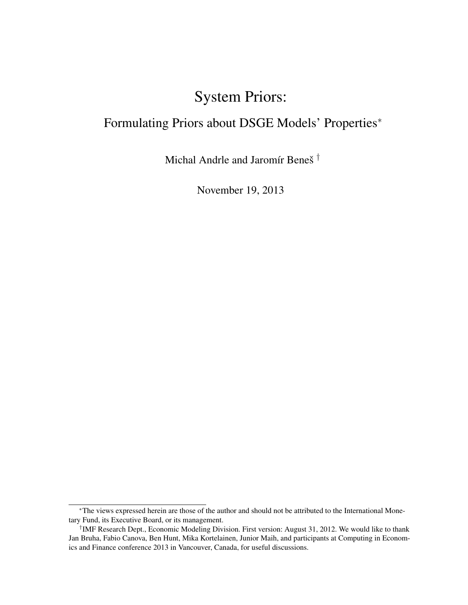# System Priors:

# Formulating Priors about DSGE Models' Properties<sup>∗</sup>

Michal Andrle and Jaromír Beneš †

November 19, 2013

<sup>∗</sup>The views expressed herein are those of the author and should not be attributed to the International Monetary Fund, its Executive Board, or its management.

<sup>†</sup> IMF Research Dept., Economic Modeling Division. First version: August 31, 2012. We would like to thank Jan Bruha, Fabio Canova, Ben Hunt, Mika Kortelainen, Junior Maih, and participants at Computing in Economics and Finance conference 2013 in Vancouver, Canada, for useful discussions.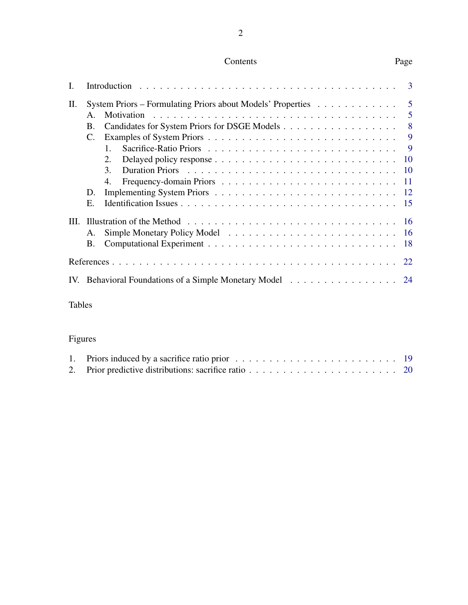# Contents Page

| L.  |                 |                                                                                       | 3              |
|-----|-----------------|---------------------------------------------------------------------------------------|----------------|
| П.  |                 | System Priors – Formulating Priors about Models' Properties $\dots \dots \dots \dots$ | $\overline{5}$ |
|     | $\mathsf{A}$ .  | Motivation                                                                            | 5              |
|     | Β.              |                                                                                       | 8              |
|     | $\mathcal{C}$ . |                                                                                       | 9              |
|     |                 | $1_{-}$                                                                               | 9              |
|     |                 | 2.                                                                                    | 10             |
|     |                 | 3.                                                                                    | 10             |
|     |                 | 4.                                                                                    | <sup>11</sup>  |
|     | D.              |                                                                                       | <sup>12</sup>  |
|     | Ε.              |                                                                                       | -15            |
| Ш.  |                 |                                                                                       | <b>16</b>      |
|     | A.              |                                                                                       | <b>16</b>      |
|     | B.              |                                                                                       | 18             |
|     |                 |                                                                                       | 22             |
| IV. |                 | Behavioral Foundations of a Simple Monetary Model                                     | 24             |
|     |                 |                                                                                       |                |

# Tables

# Figures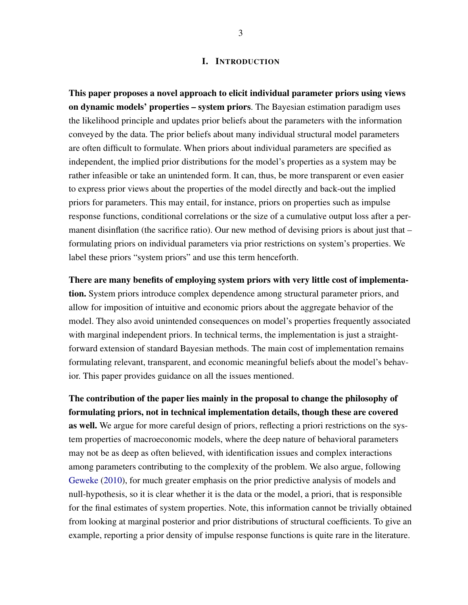#### I. INTRODUCTION

<span id="page-2-0"></span>This paper proposes a novel approach to elicit individual parameter priors using views on dynamic models' properties – system priors. The Bayesian estimation paradigm uses the likelihood principle and updates prior beliefs about the parameters with the information conveyed by the data. The prior beliefs about many individual structural model parameters are often difficult to formulate. When priors about individual parameters are specified as independent, the implied prior distributions for the model's properties as a system may be rather infeasible or take an unintended form. It can, thus, be more transparent or even easier to express prior views about the properties of the model directly and back-out the implied priors for parameters. This may entail, for instance, priors on properties such as impulse response functions, conditional correlations or the size of a cumulative output loss after a permanent disinflation (the sacrifice ratio). Our new method of devising priors is about just that – formulating priors on individual parameters via prior restrictions on system's properties. We label these priors "system priors" and use this term henceforth.

There are many benefits of employing system priors with very little cost of implementation. System priors introduce complex dependence among structural parameter priors, and allow for imposition of intuitive and economic priors about the aggregate behavior of the model. They also avoid unintended consequences on model's properties frequently associated with marginal independent priors. In technical terms, the implementation is just a straightforward extension of standard Bayesian methods. The main cost of implementation remains formulating relevant, transparent, and economic meaningful beliefs about the model's behavior. This paper provides guidance on all the issues mentioned.

The contribution of the paper lies mainly in the proposal to change the philosophy of formulating priors, not in technical implementation details, though these are covered as well. We argue for more careful design of priors, reflecting a priori restrictions on the system properties of macroeconomic models, where the deep nature of behavioral parameters may not be as deep as often believed, with identification issues and complex interactions among parameters contributing to the complexity of the problem. We also argue, following [Geweke](#page-22-0) [\(2010\)](#page-22-0), for much greater emphasis on the prior predictive analysis of models and null-hypothesis, so it is clear whether it is the data or the model, a priori, that is responsible for the final estimates of system properties. Note, this information cannot be trivially obtained from looking at marginal posterior and prior distributions of structural coefficients. To give an example, reporting a prior density of impulse response functions is quite rare in the literature.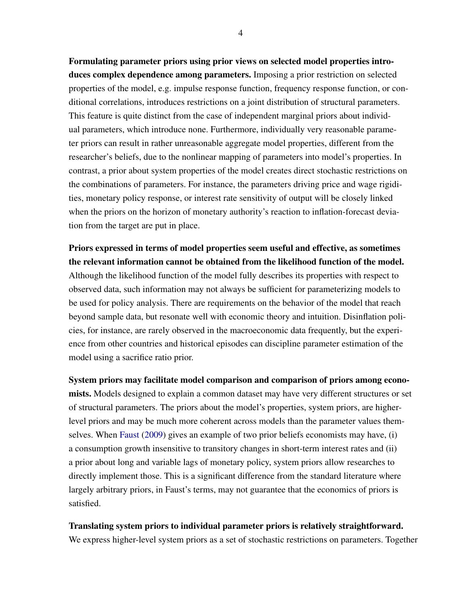Formulating parameter priors using prior views on selected model properties introduces complex dependence among parameters. Imposing a prior restriction on selected properties of the model, e.g. impulse response function, frequency response function, or conditional correlations, introduces restrictions on a joint distribution of structural parameters. This feature is quite distinct from the case of independent marginal priors about individual parameters, which introduce none. Furthermore, individually very reasonable parameter priors can result in rather unreasonable aggregate model properties, different from the researcher's beliefs, due to the nonlinear mapping of parameters into model's properties. In contrast, a prior about system properties of the model creates direct stochastic restrictions on the combinations of parameters. For instance, the parameters driving price and wage rigidities, monetary policy response, or interest rate sensitivity of output will be closely linked when the priors on the horizon of monetary authority's reaction to inflation-forecast deviation from the target are put in place.

Priors expressed in terms of model properties seem useful and effective, as sometimes the relevant information cannot be obtained from the likelihood function of the model. Although the likelihood function of the model fully describes its properties with respect to observed data, such information may not always be sufficient for parameterizing models to be used for policy analysis. There are requirements on the behavior of the model that reach beyond sample data, but resonate well with economic theory and intuition. Disinflation policies, for instance, are rarely observed in the macroeconomic data frequently, but the experience from other countries and historical episodes can discipline parameter estimation of the model using a sacrifice ratio prior.

System priors may facilitate model comparison and comparison of priors among economists. Models designed to explain a common dataset may have very different structures or set of structural parameters. The priors about the model's properties, system priors, are higherlevel priors and may be much more coherent across models than the parameter values themselves. When [Faust](#page-21-1) [\(2009\)](#page-21-1) gives an example of two prior beliefs economists may have, (i) a consumption growth insensitive to transitory changes in short-term interest rates and (ii) a prior about long and variable lags of monetary policy, system priors allow researches to directly implement those. This is a significant difference from the standard literature where largely arbitrary priors, in Faust's terms, may not guarantee that the economics of priors is satisfied.

## Translating system priors to individual parameter priors is relatively straightforward.

We express higher-level system priors as a set of stochastic restrictions on parameters. Together

4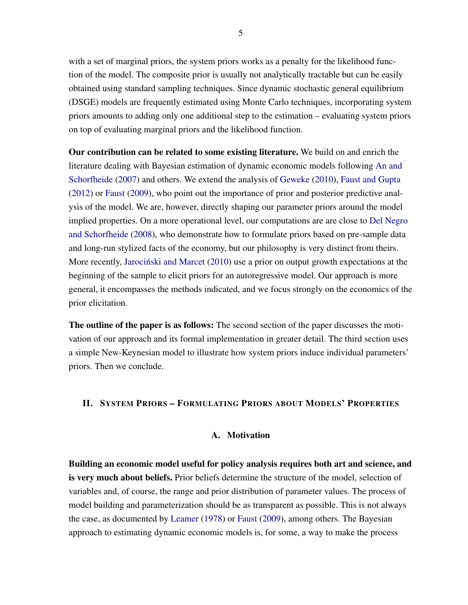with a set of marginal priors, the system priors works as a penalty for the likelihood function of the model. The composite prior is usually not analytically tractable but can be easily obtained using standard sampling techniques. Since dynamic stochastic general equilibrium (DSGE) models are frequently estimated using Monte Carlo techniques, incorporating system priors amounts to adding only one additional step to the estimation – evaluating system priors on top of evaluating marginal priors and the likelihood function.

Our contribution can be related to some existing literature. We build on and enrich the literature dealing with Bayesian estimation of dynamic economic models following [An and](#page-21-2) [Schorfheide](#page-21-2) [\(2007\)](#page-21-2) and others. We extend the analysis of [Geweke](#page-22-0) [\(2010\)](#page-22-0), [Faust and Gupta](#page-21-3) [\(2012\)](#page-21-3) or [Faust](#page-21-1) [\(2009\)](#page-21-1), who point out the importance of prior and posterior predictive analysis of the model. We are, however, directly shaping our parameter priors around the model implied properties. On a more operational level, our computations are are close to [Del Negro](#page-21-4) [and Schorfheide](#page-21-4) [\(2008\)](#page-21-4), who demonstrate how to formulate priors based on pre-sample data and long-run stylized facts of the economy, but our philosophy is very distinct from theirs. More recently, [Jarocinski and Marcet](#page-22-1)  $(2010)$  use a prior on output growth expectations at the beginning of the sample to elicit priors for an autoregressive model. Our approach is more general, it encompasses the methods indicated, and we focus strongly on the economics of the prior elicitation.

The outline of the paper is as follows: The second section of the paper discusses the motivation of our approach and its formal implementation in greater detail. The third section uses a simple New-Keynesian model to illustrate how system priors induce individual parameters' priors. Then we conclude.

## <span id="page-4-1"></span><span id="page-4-0"></span>II. SYSTEM PRIORS – FORMULATING PRIORS ABOUT MODELS' PROPERTIES

### A. Motivation

Building an economic model useful for policy analysis requires both art and science, and is very much about beliefs. Prior beliefs determine the structure of the model, selection of variables and, of course, the range and prior distribution of parameter values. The process of model building and parameterization should be as transparent as possible. This is not always the case, as documented by [Leamer](#page-22-2) [\(1978\)](#page-22-2) or [Faust](#page-21-1) [\(2009\)](#page-21-1), among others. The Bayesian approach to estimating dynamic economic models is, for some, a way to make the process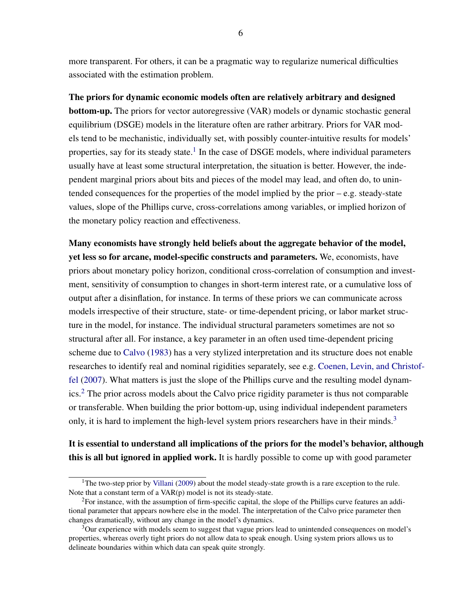more transparent. For others, it can be a pragmatic way to regularize numerical difficulties associated with the estimation problem.

The priors for dynamic economic models often are relatively arbitrary and designed **bottom-up.** The priors for vector autoregressive (VAR) models or dynamic stochastic general equilibrium (DSGE) models in the literature often are rather arbitrary. Priors for VAR models tend to be mechanistic, individually set, with possibly counter-intuitive results for models' properties, say for its steady state.<sup>[1](#page-5-0)</sup> In the case of DSGE models, where individual parameters usually have at least some structural interpretation, the situation is better. However, the independent marginal priors about bits and pieces of the model may lead, and often do, to unintended consequences for the properties of the model implied by the prior – e.g. steady-state values, slope of the Phillips curve, cross-correlations among variables, or implied horizon of the monetary policy reaction and effectiveness.

Many economists have strongly held beliefs about the aggregate behavior of the model, yet less so for arcane, model-specific constructs and parameters. We, economists, have priors about monetary policy horizon, conditional cross-correlation of consumption and investment, sensitivity of consumption to changes in short-term interest rate, or a cumulative loss of output after a disinflation, for instance. In terms of these priors we can communicate across models irrespective of their structure, state- or time-dependent pricing, or labor market structure in the model, for instance. The individual structural parameters sometimes are not so structural after all. For instance, a key parameter in an often used time-dependent pricing scheme due to [Calvo](#page-21-5) [\(1983\)](#page-21-5) has a very stylized interpretation and its structure does not enable researches to identify real and nominal rigidities separately, see e.g. [Coenen, Levin, and Christ](#page-21-6)of[fel](#page-21-6) [\(2007\)](#page-21-6). What matters is just the slope of the Phillips curve and the resulting model dynamics.[2](#page-5-1) The prior across models about the Calvo price rigidity parameter is thus not comparable or transferable. When building the prior bottom-up, using individual independent parameters only, it is hard to implement the high-level system priors researchers have in their minds.<sup>[3](#page-5-2)</sup>

It is essential to understand all implications of the priors for the model's behavior, although this is all but ignored in applied work. It is hardly possible to come up with good parameter

<span id="page-5-0"></span><sup>&</sup>lt;sup>1</sup>The two-step prior by [Villani](#page-22-3) [\(2009\)](#page-22-3) about the model steady-state growth is a rare exception to the rule. Note that a constant term of a VAR(p) model is not its steady-state.

<span id="page-5-1"></span><sup>2</sup>For instance, with the assumption of firm-specific capital, the slope of the Phillips curve features an additional parameter that appears nowhere else in the model. The interpretation of the Calvo price parameter then changes dramatically, without any change in the model's dynamics.

<span id="page-5-2"></span><sup>&</sup>lt;sup>3</sup>Our experience with models seem to suggest that vague priors lead to unintended consequences on model's properties, whereas overly tight priors do not allow data to speak enough. Using system priors allows us to delineate boundaries within which data can speak quite strongly.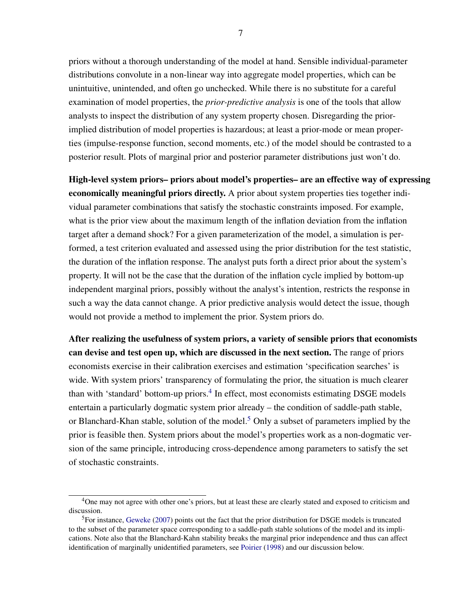priors without a thorough understanding of the model at hand. Sensible individual-parameter distributions convolute in a non-linear way into aggregate model properties, which can be unintuitive, unintended, and often go unchecked. While there is no substitute for a careful examination of model properties, the *prior-predictive analysis* is one of the tools that allow analysts to inspect the distribution of any system property chosen. Disregarding the priorimplied distribution of model properties is hazardous; at least a prior-mode or mean properties (impulse-response function, second moments, etc.) of the model should be contrasted to a posterior result. Plots of marginal prior and posterior parameter distributions just won't do.

High-level system priors– priors about model's properties– are an effective way of expressing economically meaningful priors directly. A prior about system properties ties together individual parameter combinations that satisfy the stochastic constraints imposed. For example, what is the prior view about the maximum length of the inflation deviation from the inflation target after a demand shock? For a given parameterization of the model, a simulation is performed, a test criterion evaluated and assessed using the prior distribution for the test statistic, the duration of the inflation response. The analyst puts forth a direct prior about the system's property. It will not be the case that the duration of the inflation cycle implied by bottom-up independent marginal priors, possibly without the analyst's intention, restricts the response in such a way the data cannot change. A prior predictive analysis would detect the issue, though would not provide a method to implement the prior. System priors do.

After realizing the usefulness of system priors, a variety of sensible priors that economists can devise and test open up, which are discussed in the next section. The range of priors economists exercise in their calibration exercises and estimation 'specification searches' is wide. With system priors' transparency of formulating the prior, the situation is much clearer than with 'standard' bottom-up priors.<sup>[4](#page-6-0)</sup> In effect, most economists estimating DSGE models entertain a particularly dogmatic system prior already – the condition of saddle-path stable, or Blanchard-Khan stable, solution of the model.<sup>[5](#page-6-1)</sup> Only a subset of parameters implied by the prior is feasible then. System priors about the model's properties work as a non-dogmatic version of the same principle, introducing cross-dependence among parameters to satisfy the set of stochastic constraints.

<span id="page-6-0"></span><sup>&</sup>lt;sup>4</sup>One may not agree with other one's priors, but at least these are clearly stated and exposed to criticism and discussion.

<span id="page-6-1"></span><sup>5</sup>For instance, [Geweke](#page-21-7) [\(2007\)](#page-21-7) points out the fact that the prior distribution for DSGE models is truncated to the subset of the parameter space corresponding to a saddle-path stable solutions of the model and its implications. Note also that the Blanchard-Kahn stability breaks the marginal prior independence and thus can affect identification of marginally unidentified parameters, see [Poirier](#page-22-4) [\(1998\)](#page-22-4) and our discussion below.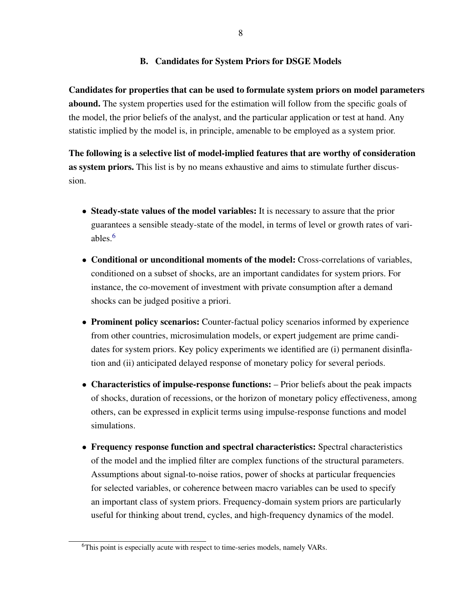# B. Candidates for System Priors for DSGE Models

<span id="page-7-0"></span>Candidates for properties that can be used to formulate system priors on model parameters abound. The system properties used for the estimation will follow from the specific goals of the model, the prior beliefs of the analyst, and the particular application or test at hand. Any statistic implied by the model is, in principle, amenable to be employed as a system prior.

The following is a selective list of model-implied features that are worthy of consideration as system priors. This list is by no means exhaustive and aims to stimulate further discussion.

- Steady-state values of the model variables: It is necessary to assure that the prior guarantees a sensible steady-state of the model, in terms of level or growth rates of variables.[6](#page-7-1)
- Conditional or unconditional moments of the model: Cross-correlations of variables, conditioned on a subset of shocks, are an important candidates for system priors. For instance, the co-movement of investment with private consumption after a demand shocks can be judged positive a priori.
- Prominent policy scenarios: Counter-factual policy scenarios informed by experience from other countries, microsimulation models, or expert judgement are prime candidates for system priors. Key policy experiments we identified are (i) permanent disinflation and (ii) anticipated delayed response of monetary policy for several periods.
- Characteristics of impulse-response functions: Prior beliefs about the peak impacts of shocks, duration of recessions, or the horizon of monetary policy effectiveness, among others, can be expressed in explicit terms using impulse-response functions and model simulations.
- Frequency response function and spectral characteristics: Spectral characteristics of the model and the implied filter are complex functions of the structural parameters. Assumptions about signal-to-noise ratios, power of shocks at particular frequencies for selected variables, or coherence between macro variables can be used to specify an important class of system priors. Frequency-domain system priors are particularly useful for thinking about trend, cycles, and high-frequency dynamics of the model.

<span id="page-7-1"></span><sup>&</sup>lt;sup>6</sup>This point is especially acute with respect to time-series models, namely VARs.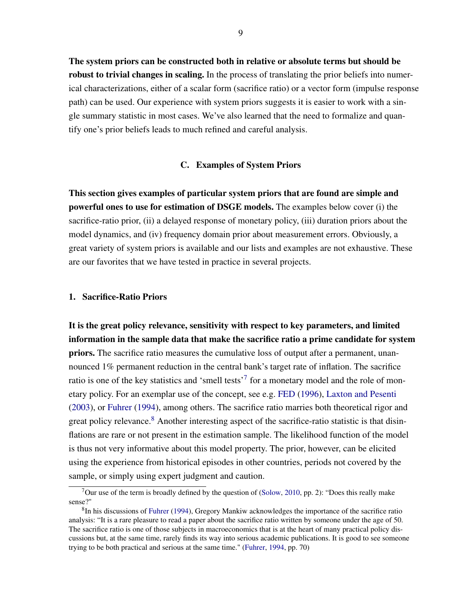The system priors can be constructed both in relative or absolute terms but should be robust to trivial changes in scaling. In the process of translating the prior beliefs into numerical characterizations, either of a scalar form (sacrifice ratio) or a vector form (impulse response path) can be used. Our experience with system priors suggests it is easier to work with a single summary statistic in most cases. We've also learned that the need to formalize and quantify one's prior beliefs leads to much refined and careful analysis.

#### C. Examples of System Priors

<span id="page-8-0"></span>This section gives examples of particular system priors that are found are simple and powerful ones to use for estimation of DSGE models. The examples below cover (i) the sacrifice-ratio prior, (ii) a delayed response of monetary policy, (iii) duration priors about the model dynamics, and (iv) frequency domain prior about measurement errors. Obviously, a great variety of system priors is available and our lists and examples are not exhaustive. These are our favorites that we have tested in practice in several projects.

#### <span id="page-8-1"></span>1. Sacrifice-Ratio Priors

It is the great policy relevance, sensitivity with respect to key parameters, and limited information in the sample data that make the sacrifice ratio a prime candidate for system priors. The sacrifice ratio measures the cumulative loss of output after a permanent, unannounced 1% permanent reduction in the central bank's target rate of inflation. The sacrifice ratio is one of the key statistics and 'smell tests'<sup>[7](#page-8-2)</sup> for a monetary model and the role of monetary policy. For an exemplar use of the concept, see e.g. [FED](#page-21-8) [\(1996\)](#page-21-8), [Laxton and Pesenti](#page-22-5) [\(2003\)](#page-22-5), or [Fuhrer](#page-21-9) [\(1994\)](#page-21-9), among others. The sacrifice ratio marries both theoretical rigor and great policy relevance.<sup>[8](#page-8-3)</sup> Another interesting aspect of the sacrifice-ratio statistic is that disinflations are rare or not present in the estimation sample. The likelihood function of the model is thus not very informative about this model property. The prior, however, can be elicited using the experience from historical episodes in other countries, periods not covered by the sample, or simply using expert judgment and caution.

<span id="page-8-2"></span><sup>&</sup>lt;sup>7</sup>Our use of the term is broadly defined by the question of [\(Solow,](#page-22-6) [2010,](#page-22-6) pp. 2): "Does this really make sense?"

<span id="page-8-3"></span><sup>&</sup>lt;sup>8</sup>In his discussions of [Fuhrer](#page-21-9) [\(1994\)](#page-21-9), Gregory Mankiw acknowledges the importance of the sacrifice ratio analysis: "It is a rare pleasure to read a paper about the sacrifice ratio written by someone under the age of 50. The sacrifice ratio is one of those subjects in macroeconomics that is at the heart of many practical policy discussions but, at the same time, rarely finds its way into serious academic publications. It is good to see someone trying to be both practical and serious at the same time." [\(Fuhrer,](#page-21-9) [1994,](#page-21-9) pp. 70)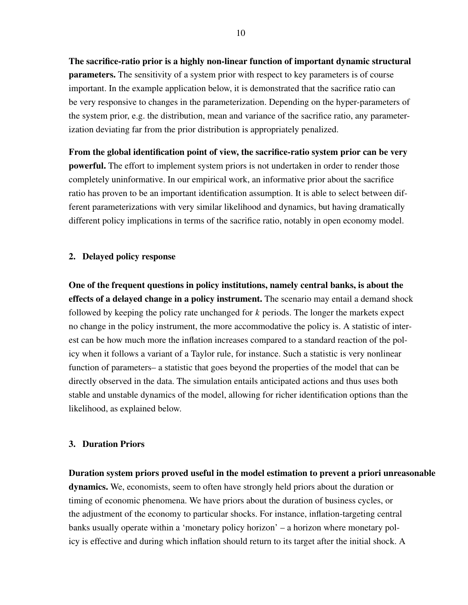The sacrifice-ratio prior is a highly non-linear function of important dynamic structural **parameters.** The sensitivity of a system prior with respect to key parameters is of course important. In the example application below, it is demonstrated that the sacrifice ratio can be very responsive to changes in the parameterization. Depending on the hyper-parameters of the system prior, e.g. the distribution, mean and variance of the sacrifice ratio, any parameterization deviating far from the prior distribution is appropriately penalized.

From the global identification point of view, the sacrifice-ratio system prior can be very powerful. The effort to implement system priors is not undertaken in order to render those completely uninformative. In our empirical work, an informative prior about the sacrifice ratio has proven to be an important identification assumption. It is able to select between different parameterizations with very similar likelihood and dynamics, but having dramatically different policy implications in terms of the sacrifice ratio, notably in open economy model.

## <span id="page-9-0"></span>2. Delayed policy response

One of the frequent questions in policy institutions, namely central banks, is about the effects of a delayed change in a policy instrument. The scenario may entail a demand shock followed by keeping the policy rate unchanged for *k* periods. The longer the markets expect no change in the policy instrument, the more accommodative the policy is. A statistic of interest can be how much more the inflation increases compared to a standard reaction of the policy when it follows a variant of a Taylor rule, for instance. Such a statistic is very nonlinear function of parameters– a statistic that goes beyond the properties of the model that can be directly observed in the data. The simulation entails anticipated actions and thus uses both stable and unstable dynamics of the model, allowing for richer identification options than the likelihood, as explained below.

#### <span id="page-9-1"></span>3. Duration Priors

Duration system priors proved useful in the model estimation to prevent a priori unreasonable dynamics. We, economists, seem to often have strongly held priors about the duration or timing of economic phenomena. We have priors about the duration of business cycles, or the adjustment of the economy to particular shocks. For instance, inflation-targeting central banks usually operate within a 'monetary policy horizon' – a horizon where monetary policy is effective and during which inflation should return to its target after the initial shock. A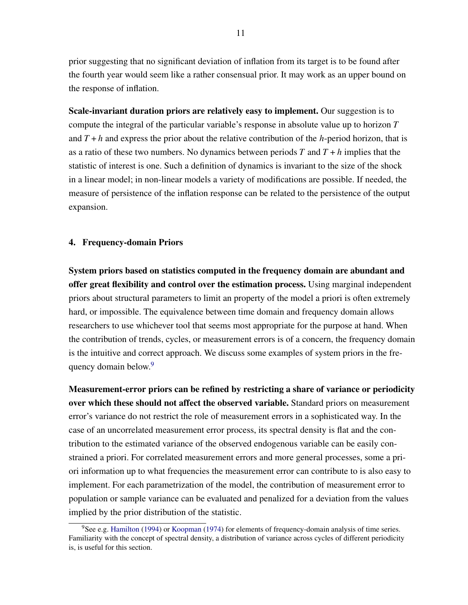prior suggesting that no significant deviation of inflation from its target is to be found after the fourth year would seem like a rather consensual prior. It may work as an upper bound on the response of inflation.

Scale-invariant duration priors are relatively easy to implement. Our suggestion is to compute the integral of the particular variable's response in absolute value up to horizon *T* and  $T + h$  and express the prior about the relative contribution of the *h*-period horizon, that is as a ratio of these two numbers. No dynamics between periods  $T$  and  $T + h$  implies that the statistic of interest is one. Such a definition of dynamics is invariant to the size of the shock in a linear model; in non-linear models a variety of modifications are possible. If needed, the measure of persistence of the inflation response can be related to the persistence of the output expansion.

#### <span id="page-10-0"></span>4. Frequency-domain Priors

System priors based on statistics computed in the frequency domain are abundant and offer great flexibility and control over the estimation process. Using marginal independent priors about structural parameters to limit an property of the model a priori is often extremely hard, or impossible. The equivalence between time domain and frequency domain allows researchers to use whichever tool that seems most appropriate for the purpose at hand. When the contribution of trends, cycles, or measurement errors is of a concern, the frequency domain is the intuitive and correct approach. We discuss some examples of system priors in the fre-quency domain below.<sup>[9](#page-10-1)</sup>

Measurement-error priors can be refined by restricting a share of variance or periodicity over which these should not affect the observed variable. Standard priors on measurement error's variance do not restrict the role of measurement errors in a sophisticated way. In the case of an uncorrelated measurement error process, its spectral density is flat and the contribution to the estimated variance of the observed endogenous variable can be easily constrained a priori. For correlated measurement errors and more general processes, some a priori information up to what frequencies the measurement error can contribute to is also easy to implement. For each parametrization of the model, the contribution of measurement error to population or sample variance can be evaluated and penalized for a deviation from the values implied by the prior distribution of the statistic.

<span id="page-10-1"></span> $9$ See e.g. [Hamilton](#page-22-7) [\(1994\)](#page-22-7) or [Koopman](#page-22-8) [\(1974\)](#page-22-8) for elements of frequency-domain analysis of time series. Familiarity with the concept of spectral density, a distribution of variance across cycles of different periodicity is, is useful for this section.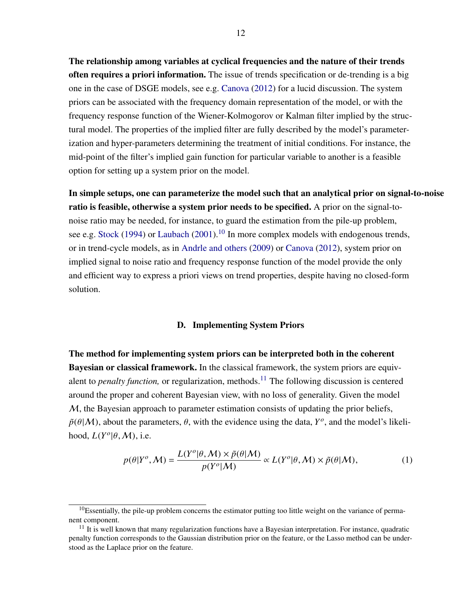The relationship among variables at cyclical frequencies and the nature of their trends often requires a priori information. The issue of trends specification or de-trending is a big one in the case of DSGE models, see e.g. [Canova](#page-21-10) [\(2012\)](#page-21-10) for a lucid discussion. The system priors can be associated with the frequency domain representation of the model, or with the frequency response function of the Wiener-Kolmogorov or Kalman filter implied by the structural model. The properties of the implied filter are fully described by the model's parameterization and hyper-parameters determining the treatment of initial conditions. For instance, the mid-point of the filter's implied gain function for particular variable to another is a feasible option for setting up a system prior on the model.

In simple setups, one can parameterize the model such that an analytical prior on signal-to-noise ratio is feasible, otherwise a system prior needs to be specified. A prior on the signal-tonoise ratio may be needed, for instance, to guard the estimation from the pile-up problem, see e.g. [Stock](#page-22-9) [\(1994\)](#page-22-9) or [Laubach](#page-22-10) [\(2001\)](#page-22-10).<sup>[10](#page-11-1)</sup> In more complex models with endogenous trends, or in trend-cycle models, as in [Andrle and others](#page-21-11) [\(2009\)](#page-21-11) or [Canova](#page-21-10) [\(2012\)](#page-21-10), system prior on implied signal to noise ratio and frequency response function of the model provide the only and efficient way to express a priori views on trend properties, despite having no closed-form solution.

#### D. Implementing System Priors

<span id="page-11-0"></span>The method for implementing system priors can be interpreted both in the coherent Bayesian or classical framework. In the classical framework, the system priors are equivalent to *penalty function*, or regularization, methods.<sup>[11](#page-11-2)</sup> The following discussion is centered around the proper and coherent Bayesian view, with no loss of generality. Given the model  $M$ , the Bayesian approach to parameter estimation consists of updating the prior beliefs,  $\tilde{p}(\theta|M)$ , about the parameters,  $\theta$ , with the evidence using the data,  $Y^{\circ}$ , and the model's likelihood,  $L(Y^o | \theta, M)$ , i.e.

<span id="page-11-3"></span>
$$
p(\theta|Y^o, \mathcal{M}) = \frac{L(Y^o|\theta, \mathcal{M}) \times \tilde{p}(\theta|\mathcal{M})}{p(Y^o|\mathcal{M})} \propto L(Y^o|\theta, \mathcal{M}) \times \tilde{p}(\theta|\mathcal{M}),
$$
 (1)

<span id="page-11-1"></span> $10$ Essentially, the pile-up problem concerns the estimator putting too little weight on the variance of permanent component.

<span id="page-11-2"></span> $11$  It is well known that many regularization functions have a Bayesian interpretation. For instance, quadratic penalty function corresponds to the Gaussian distribution prior on the feature, or the Lasso method can be understood as the Laplace prior on the feature.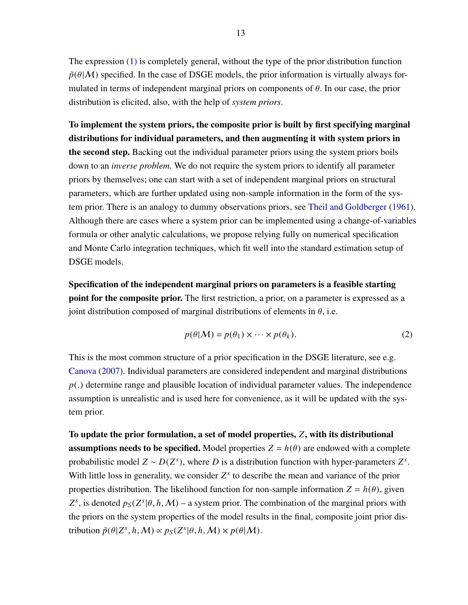The expression [\(1\)](#page-11-3) is completely general, without the type of the prior distribution function  $\tilde{p}(\theta|M)$  specified. In the case of DSGE models, the prior information is virtually always formulated in terms of independent marginal priors on components of  $\theta$ . In our case, the prior distribution is elicited, also, with the help of *system priors*.

To implement the system priors, the composite prior is built by first specifying marginal distributions for individual parameters, and then augmenting it with system priors in the second step. Backing out the individual parameter priors using the system priors boils down to an *inverse problem.* We do not require the system priors to identify all parameter priors by themselves; one can start with a set of independent marginal priors on structural parameters, which are further updated using non-sample information in the form of the system prior. There is an analogy to dummy observations priors, see [Theil and Goldberger](#page-22-11) [\(1961\)](#page-22-11). Although there are cases where a system prior can be implemented using a change-of-variables formula or other analytic calculations, we propose relying fully on numerical specification and Monte Carlo integration techniques, which fit well into the standard estimation setup of DSGE models.

Specification of the independent marginal priors on parameters is a feasible starting point for the composite prior. The first restriction, a prior, on a parameter is expressed as a joint distribution composed of marginal distributions of elements in  $\theta$ , i.e.

$$
p(\theta|\mathcal{M}) = p(\theta_1) \times \cdots \times p(\theta_k).
$$
 (2)

This is the most common structure of a prior specification in the DSGE literature, see e.g. [Canova](#page-21-12) [\(2007\)](#page-21-12). Individual parameters are considered independent and marginal distributions *<sup>p</sup>*(.) determine range and plausible location of individual parameter values. The independence assumption is unrealistic and is used here for convenience, as it will be updated with the system prior.

To update the prior formulation, a set of model properties, *Z*, with its distributional **assumptions needs to be specified.** Model properties  $Z = h(\theta)$  are endowed with a complete probabilistic model  $Z \sim D(Z^s)$ , where *D* is a distribution function with hyper-parameters  $Z^s$ . With little loss in generality, we consider  $Z<sup>s</sup>$  to describe the mean and variance of the prior properties distribution. The likelihood function for non-sample information  $Z = h(\theta)$ , given  $Z^s$ , is denoted  $p_S(Z^s | \theta, h, M)$  – a system prior. The combination of the marginal priors with the priors on the system properties of the model results in the final, composite joint prior distribution  $\tilde{p}(\theta | Z^s, h, \mathcal{M}) \propto p_S(Z^s | \theta, h, \mathcal{M}) \times p(\theta | \mathcal{M}).$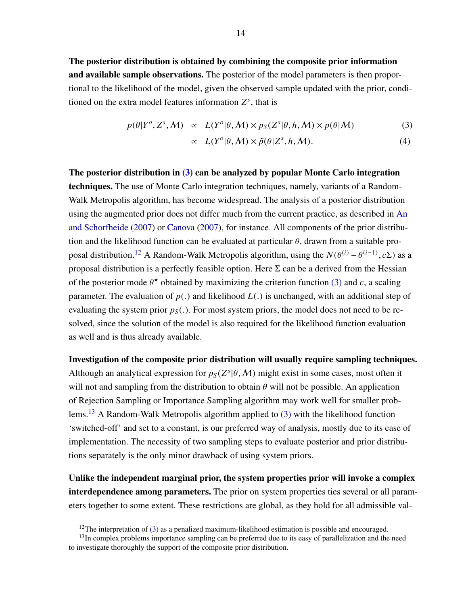The posterior distribution is obtained by combining the composite prior information and available sample observations. The posterior of the model parameters is then proportional to the likelihood of the model, given the observed sample updated with the prior, conditioned on the extra model features information  $Z^s$ , that is

<span id="page-13-0"></span>
$$
p(\theta|Y^o, Z^s, \mathcal{M}) \propto L(Y^o|\theta, \mathcal{M}) \times p_S(Z^s|\theta, h, \mathcal{M}) \times p(\theta|\mathcal{M})
$$
 (3)

$$
\propto L(Y^o|\theta, M) \times \tilde{p}(\theta|Z^s, h, M). \tag{4}
$$

The posterior distribution in [\(3\)](#page-13-0) can be analyzed by popular Monte Carlo integration techniques. The use of Monte Carlo integration techniques, namely, variants of a Random-Walk Metropolis algorithm, has become widespread. The analysis of a posterior distribution using the augmented prior does not differ much from the current practice, as described in [An](#page-21-2) [and Schorfheide](#page-21-2) [\(2007\)](#page-21-2) or [Canova](#page-21-12) [\(2007\)](#page-21-12), for instance. All components of the prior distribution and the likelihood function can be evaluated at particular  $\theta$ , drawn from a suitable pro-posal distribution.<sup>[12](#page-13-1)</sup> A Random-Walk Metropolis algorithm, using the  $N(\theta^{(i)} - \theta^{(i-1)}, c\Sigma)$  as a proposal distribution is a perfectly feasible option. Here  $\Sigma$  can be a derived from the Hessian of the posterior mode  $\theta^*$  obtained by maximizing the criterion function [\(3\)](#page-13-0) and *c*, a scaling parameter. The evaluation of  $p(.)$  and likelihood  $L(.)$  is unchanged, with an additional step of evaluating the system prior  $p_S(.)$ . For most system priors, the model does not need to be resolved, since the solution of the model is also required for the likelihood function evaluation as well and is thus already available.

Investigation of the composite prior distribution will usually require sampling techniques. Although an analytical expression for  $p_S(Z^s | \theta, M)$  might exist in some cases, most often it will not and sampling from the distribution to obtain  $\theta$  will not be possible. An application of Rejection Sampling or Importance Sampling algorithm may work well for smaller prob-lems.<sup>[13](#page-13-2)</sup> A Random-Walk Metropolis algorithm applied to  $(3)$  with the likelihood function 'switched-off' and set to a constant, is our preferred way of analysis, mostly due to its ease of implementation. The necessity of two sampling steps to evaluate posterior and prior distributions separately is the only minor drawback of using system priors.

Unlike the independent marginal prior, the system properties prior will invoke a complex interdependence among parameters. The prior on system properties ties several or all parameters together to some extent. These restrictions are global, as they hold for all admissible val-

<span id="page-13-2"></span><span id="page-13-1"></span><sup>&</sup>lt;sup>12</sup>The interpretation of [\(3\)](#page-13-0) as a penalized maximum-likelihood estimation is possible and encouraged.

 $<sup>13</sup>$ In complex problems importance sampling can be preferred due to its easy of parallelization and the need</sup> to investigate thoroughly the support of the composite prior distribution.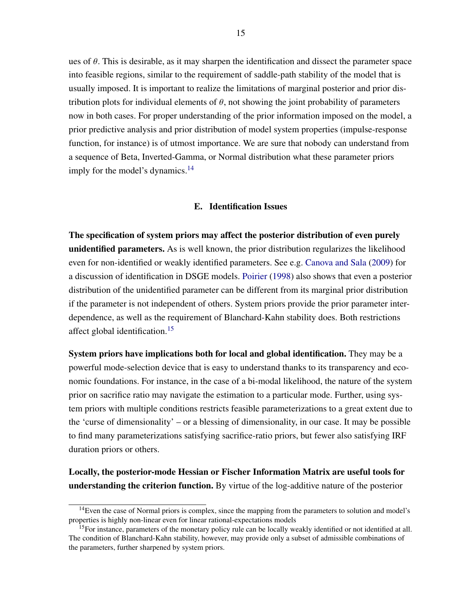ues of  $\theta$ . This is desirable, as it may sharpen the identification and dissect the parameter space into feasible regions, similar to the requirement of saddle-path stability of the model that is usually imposed. It is important to realize the limitations of marginal posterior and prior distribution plots for individual elements of  $\theta$ , not showing the joint probability of parameters now in both cases. For proper understanding of the prior information imposed on the model, a prior predictive analysis and prior distribution of model system properties (impulse-response function, for instance) is of utmost importance. We are sure that nobody can understand from a sequence of Beta, Inverted-Gamma, or Normal distribution what these parameter priors imply for the model's dynamics.<sup>[14](#page-14-1)</sup>

#### E. Identification Issues

<span id="page-14-0"></span>The specification of system priors may affect the posterior distribution of even purely unidentified parameters. As is well known, the prior distribution regularizes the likelihood even for non-identified or weakly identified parameters. See e.g. [Canova and Sala](#page-21-13) [\(2009\)](#page-21-13) for a discussion of identification in DSGE models. [Poirier](#page-22-4) [\(1998\)](#page-22-4) also shows that even a posterior distribution of the unidentified parameter can be different from its marginal prior distribution if the parameter is not independent of others. System priors provide the prior parameter interdependence, as well as the requirement of Blanchard-Kahn stability does. Both restrictions affect global identification.[15](#page-14-2)

System priors have implications both for local and global identification. They may be a powerful mode-selection device that is easy to understand thanks to its transparency and economic foundations. For instance, in the case of a bi-modal likelihood, the nature of the system prior on sacrifice ratio may navigate the estimation to a particular mode. Further, using system priors with multiple conditions restricts feasible parameterizations to a great extent due to the 'curse of dimensionality' – or a blessing of dimensionality, in our case. It may be possible to find many parameterizations satisfying sacrifice-ratio priors, but fewer also satisfying IRF duration priors or others.

Locally, the posterior-mode Hessian or Fischer Information Matrix are useful tools for understanding the criterion function. By virtue of the log-additive nature of the posterior

<span id="page-14-1"></span><sup>&</sup>lt;sup>14</sup>Even the case of Normal priors is complex, since the mapping from the parameters to solution and model's properties is highly non-linear even for linear rational-expectations models

<span id="page-14-2"></span> $15$ For instance, parameters of the monetary policy rule can be locally weakly identified or not identified at all. The condition of Blanchard-Kahn stability, however, may provide only a subset of admissible combinations of the parameters, further sharpened by system priors.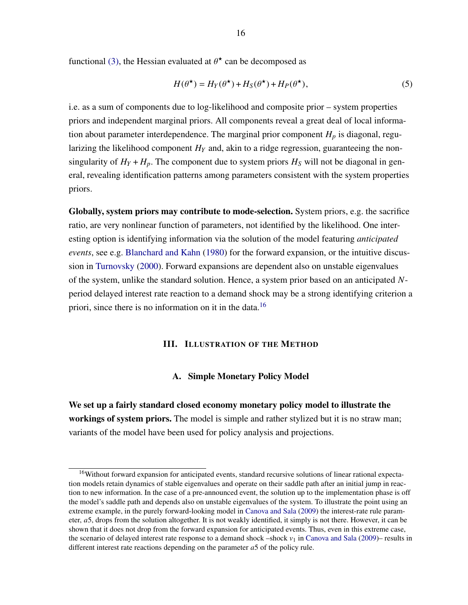functional [\(3\),](#page-13-0) the Hessian evaluated at  $\theta^*$  can be decomposed as

$$
H(\theta^{\star}) = H_Y(\theta^{\star}) + H_S(\theta^{\star}) + H_P(\theta^{\star}),
$$
\n(5)

i.e. as a sum of components due to log-likelihood and composite prior – system properties priors and independent marginal priors. All components reveal a great deal of local information about parameter interdependence. The marginal prior component  $H_p$  is diagonal, regularizing the likelihood component  $H<sub>Y</sub>$  and, akin to a ridge regression, guaranteeing the nonsingularity of  $H_Y + H_p$ . The component due to system priors  $H_S$  will not be diagonal in general, revealing identification patterns among parameters consistent with the system properties priors.

Globally, system priors may contribute to mode-selection. System priors, e.g. the sacrifice ratio, are very nonlinear function of parameters, not identified by the likelihood. One interesting option is identifying information via the solution of the model featuring *anticipated events*, see e.g. [Blanchard and Kahn](#page-21-14) [\(1980\)](#page-21-14) for the forward expansion, or the intuitive discussion in [Turnovsky](#page-22-12) [\(2000\)](#page-22-12). Forward expansions are dependent also on unstable eigenvalues of the system, unlike the standard solution. Hence, a system prior based on an anticipated *N*period delayed interest rate reaction to a demand shock may be a strong identifying criterion a priori, since there is no information on it in the data.<sup>[16](#page-15-2)</sup>

#### III. ILLUSTRATION OF THE METHOD

#### A. Simple Monetary Policy Model

<span id="page-15-1"></span><span id="page-15-0"></span>We set up a fairly standard closed economy monetary policy model to illustrate the workings of system priors. The model is simple and rather stylized but it is no straw man; variants of the model have been used for policy analysis and projections.

<span id="page-15-2"></span><sup>&</sup>lt;sup>16</sup>Without forward expansion for anticipated events, standard recursive solutions of linear rational expectation models retain dynamics of stable eigenvalues and operate on their saddle path after an initial jump in reaction to new information. In the case of a pre-announced event, the solution up to the implementation phase is off the model's saddle path and depends also on unstable eigenvalues of the system. To illustrate the point using an extreme example, in the purely forward-looking model in [Canova and Sala](#page-21-13) [\(2009\)](#page-21-13) the interest-rate rule parameter, *a*5, drops from the solution altogether. It is not weakly identified, it simply is not there. However, it can be shown that it does not drop from the forward expansion for anticipated events. Thus, even in this extreme case, the scenario of delayed interest rate response to a demand shock –shock  $v_1$  in [Canova and Sala](#page-21-13) [\(2009\)](#page-21-13)– results in different interest rate reactions depending on the parameter *a*5 of the policy rule.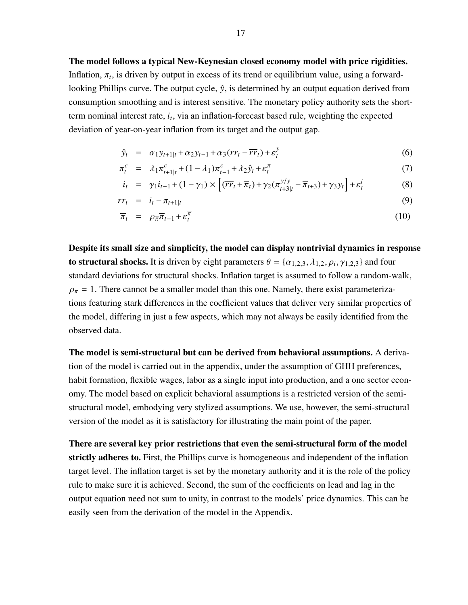The model follows a typical New-Keynesian closed economy model with price rigidities. Inflation,  $\pi_t$ , is driven by output in excess of its trend or equilibrium value, using a forwardlooking Phillips curve. The output cycle,  $\hat{y}$ , is determined by an output equation derived from consumption smoothing and is interest sensitive. The monetary policy authority sets the shortterm nominal interest rate, *i<sup>t</sup>* , via an inflation-forecast based rule, weighting the expected deviation of year-on-year inflation from its target and the output gap.

$$
\hat{y}_t = \alpha_1 y_{t+1|t} + \alpha_2 y_{t-1} + \alpha_3 (r r_t - \overline{r r}_t) + \varepsilon_t^y \tag{6}
$$

$$
\pi_t^c = \lambda_1 \pi_{t+1|t}^c + (1 - \lambda_1) \pi_{t-1}^c + \lambda_2 \hat{y}_t + \varepsilon_t^{\pi}
$$
\n(7)

$$
i_{t} = \gamma_{1}i_{t-1} + (1 - \gamma_{1}) \times \left[ (\overline{rr}_{t} + \overline{\pi}_{t}) + \gamma_{2} (\pi_{t+3|t}^{y/y} - \overline{\pi}_{t+3}) + \gamma_{3} y_{t} \right] + \varepsilon_{t}^{i}
$$
(8)

$$
rr_t = i_t - \pi_{t+1|t} \tag{9}
$$

$$
\overline{\pi}_t = \rho_{\overline{\pi}} \overline{\pi}_{t-1} + \varepsilon_t^{\overline{\pi}} \tag{10}
$$

Despite its small size and simplicity, the model can display nontrivial dynamics in response to structural shocks. It is driven by eight parameters  $\theta = {\alpha_{1,2,3}, \lambda_{1,2}, \rho_i, \gamma_{1,2,3}}$  and four standard deviations for structural shocks. Inflation target is assumed to follow a random-walk,  $\rho_{\pi} = 1$ . There cannot be a smaller model than this one. Namely, there exist parameterizations featuring stark differences in the coefficient values that deliver very similar properties of the model, differing in just a few aspects, which may not always be easily identified from the observed data.

The model is semi-structural but can be derived from behavioral assumptions. A derivation of the model is carried out in the appendix, under the assumption of GHH preferences, habit formation, flexible wages, labor as a single input into production, and a one sector economy. The model based on explicit behavioral assumptions is a restricted version of the semistructural model, embodying very stylized assumptions. We use, however, the semi-structural version of the model as it is satisfactory for illustrating the main point of the paper.

There are several key prior restrictions that even the semi-structural form of the model strictly adheres to. First, the Phillips curve is homogeneous and independent of the inflation target level. The inflation target is set by the monetary authority and it is the role of the policy rule to make sure it is achieved. Second, the sum of the coefficients on lead and lag in the output equation need not sum to unity, in contrast to the models' price dynamics. This can be easily seen from the derivation of the model in the Appendix.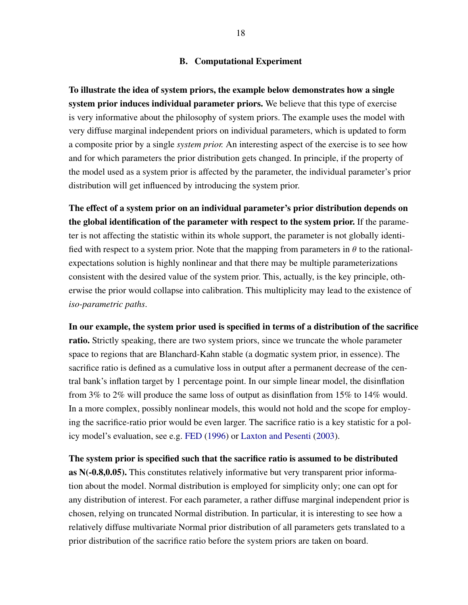#### B. Computational Experiment

<span id="page-17-0"></span>To illustrate the idea of system priors, the example below demonstrates how a single system prior induces individual parameter priors. We believe that this type of exercise is very informative about the philosophy of system priors. The example uses the model with very diffuse marginal independent priors on individual parameters, which is updated to form a composite prior by a single *system prior.* An interesting aspect of the exercise is to see how and for which parameters the prior distribution gets changed. In principle, if the property of the model used as a system prior is affected by the parameter, the individual parameter's prior distribution will get influenced by introducing the system prior.

The effect of a system prior on an individual parameter's prior distribution depends on the global identification of the parameter with respect to the system prior. If the parameter is not affecting the statistic within its whole support, the parameter is not globally identified with respect to a system prior. Note that the mapping from parameters in  $\theta$  to the rationalexpectations solution is highly nonlinear and that there may be multiple parameterizations consistent with the desired value of the system prior. This, actually, is the key principle, otherwise the prior would collapse into calibration. This multiplicity may lead to the existence of *iso-parametric paths*.

In our example, the system prior used is specified in terms of a distribution of the sacrifice ratio. Strictly speaking, there are two system priors, since we truncate the whole parameter space to regions that are Blanchard-Kahn stable (a dogmatic system prior, in essence). The sacrifice ratio is defined as a cumulative loss in output after a permanent decrease of the central bank's inflation target by 1 percentage point. In our simple linear model, the disinflation from 3% to 2% will produce the same loss of output as disinflation from 15% to 14% would. In a more complex, possibly nonlinear models, this would not hold and the scope for employing the sacrifice-ratio prior would be even larger. The sacrifice ratio is a key statistic for a policy model's evaluation, see e.g. [FED](#page-21-8) [\(1996\)](#page-21-8) or [Laxton and Pesenti](#page-22-5) [\(2003\)](#page-22-5).

The system prior is specified such that the sacrifice ratio is assumed to be distributed as N(-0.8,0.05). This constitutes relatively informative but very transparent prior information about the model. Normal distribution is employed for simplicity only; one can opt for any distribution of interest. For each parameter, a rather diffuse marginal independent prior is chosen, relying on truncated Normal distribution. In particular, it is interesting to see how a relatively diffuse multivariate Normal prior distribution of all parameters gets translated to a prior distribution of the sacrifice ratio before the system priors are taken on board.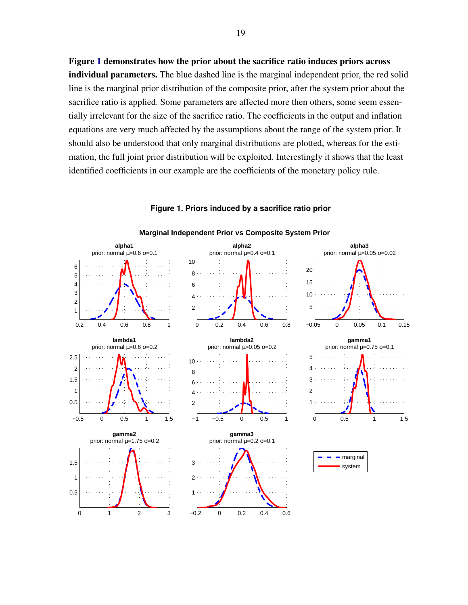Figure [1](#page-18-0) demonstrates how the prior about the sacrifice ratio induces priors across individual parameters. The blue dashed line is the marginal independent prior, the red solid line is the marginal prior distribution of the composite prior, after the system prior about the sacrifice ratio is applied. Some parameters are affected more then others, some seem essentially irrelevant for the size of the sacrifice ratio. The coefficients in the output and inflation equations are very much affected by the assumptions about the range of the system prior. It should also be understood that only marginal distributions are plotted, whereas for the estimation, the full joint prior distribution will be exploited. Interestingly it shows that the least identified coefficients in our example are the coefficients of the monetary policy rule.

<span id="page-18-0"></span>

#### **Figure 1. Priors induced by a sacrifice ratio prior**

19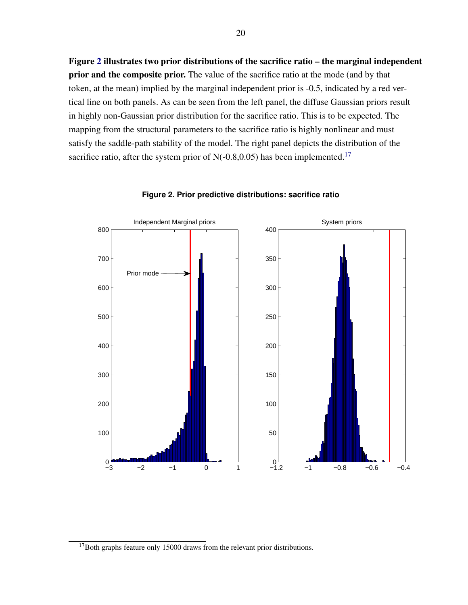Figure [2](#page-19-0) illustrates two prior distributions of the sacrifice ratio – the marginal independent prior and the composite prior. The value of the sacrifice ratio at the mode (and by that token, at the mean) implied by the marginal independent prior is -0.5, indicated by a red vertical line on both panels. As can be seen from the left panel, the diffuse Gaussian priors result in highly non-Gaussian prior distribution for the sacrifice ratio. This is to be expected. The mapping from the structural parameters to the sacrifice ratio is highly nonlinear and must satisfy the saddle-path stability of the model. The right panel depicts the distribution of the sacrifice ratio, after the system prior of  $N(-0.8,0.05)$  has been implemented.<sup>[17](#page-19-1)</sup>

<span id="page-19-0"></span>

#### **Figure 2. Prior predictive distributions: sacrifice ratio**

<span id="page-19-1"></span><sup>&</sup>lt;sup>17</sup>Both graphs feature only 15000 draws from the relevant prior distributions.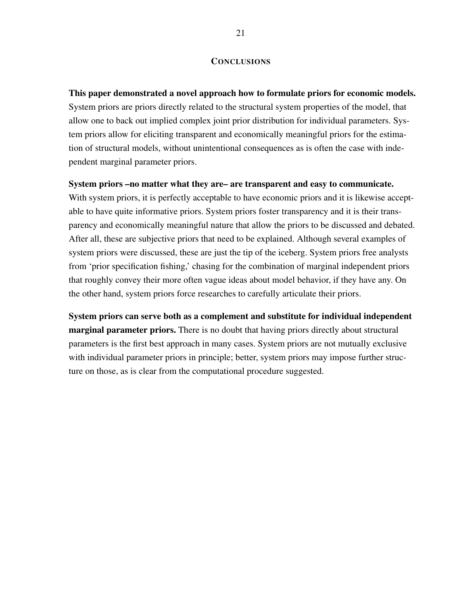#### **CONCLUSIONS**

This paper demonstrated a novel approach how to formulate priors for economic models. System priors are priors directly related to the structural system properties of the model, that allow one to back out implied complex joint prior distribution for individual parameters. System priors allow for eliciting transparent and economically meaningful priors for the estimation of structural models, without unintentional consequences as is often the case with independent marginal parameter priors.

### System priors –no matter what they are– are transparent and easy to communicate.

With system priors, it is perfectly acceptable to have economic priors and it is likewise acceptable to have quite informative priors. System priors foster transparency and it is their transparency and economically meaningful nature that allow the priors to be discussed and debated. After all, these are subjective priors that need to be explained. Although several examples of system priors were discussed, these are just the tip of the iceberg. System priors free analysts from 'prior specification fishing,' chasing for the combination of marginal independent priors that roughly convey their more often vague ideas about model behavior, if they have any. On the other hand, system priors force researches to carefully articulate their priors.

System priors can serve both as a complement and substitute for individual independent **marginal parameter priors.** There is no doubt that having priors directly about structural parameters is the first best approach in many cases. System priors are not mutually exclusive with individual parameter priors in principle; better, system priors may impose further structure on those, as is clear from the computational procedure suggested.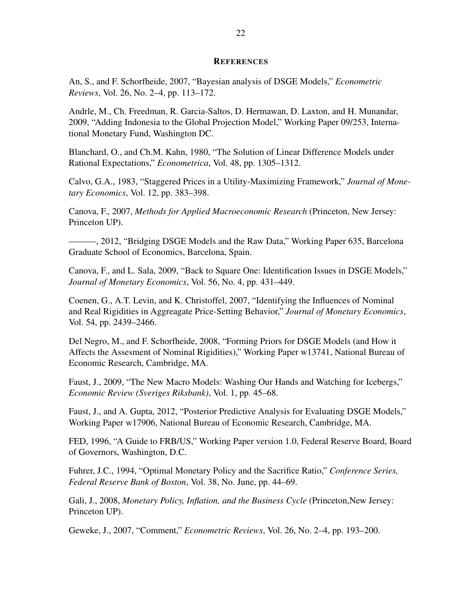#### **REFERENCES**

<span id="page-21-2"></span><span id="page-21-0"></span>An, S., and F. Schorfheide, 2007, "Bayesian analysis of DSGE Models," *Econometric Reviews*, Vol. 26, No. 2–4, pp. 113–172.

<span id="page-21-11"></span>Andrle, M., Ch. Freedman, R. Garcia-Saltos, D. Hermawan, D. Laxton, and H. Munandar, 2009, "Adding Indonesia to the Global Projection Model," Working Paper 09/253, International Monetary Fund, Washington DC.

<span id="page-21-14"></span>Blanchard, O., and Ch.M. Kahn, 1980, "The Solution of Linear Difference Models under Rational Expectations," *Econometrica*, Vol. 48, pp. 1305–1312.

<span id="page-21-5"></span>Calvo, G.A., 1983, "Staggered Prices in a Utility-Maximizing Framework," *Journal of Monetary Economics*, Vol. 12, pp. 383–398.

<span id="page-21-12"></span>Canova, F., 2007, *Methods for Applied Macroeconomic Research* (Princeton, New Jersey: Princeton UP).

<span id="page-21-10"></span>———, 2012, "Bridging DSGE Models and the Raw Data," Working Paper 635, Barcelona Graduate School of Economics, Barcelona, Spain.

<span id="page-21-13"></span>Canova, F., and L. Sala, 2009, "Back to Square One: Identification Issues in DSGE Models," *Journal of Monetary Economics*, Vol. 56, No. 4, pp. 431–449.

<span id="page-21-6"></span>Coenen, G., A.T. Levin, and K. Christoffel, 2007, "Identifying the Influences of Nominal and Real Rigidities in Aggreagate Price-Setting Behavior," *Journal of Monetary Economics*, Vol. 54, pp. 2439–2466.

<span id="page-21-4"></span>Del Negro, M., and F. Schorfheide, 2008, "Forming Priors for DSGE Models (and How it Affects the Assesment of Nominal Rigidities)," Working Paper w13741, National Bureau of Economic Research, Cambridge, MA.

<span id="page-21-1"></span>Faust, J., 2009, "The New Macro Models: Washing Our Hands and Watching for Icebergs," *Economic Review (Sveriges Riksbank)*, Vol. 1, pp. 45–68.

<span id="page-21-3"></span>Faust, J., and A. Gupta, 2012, "Posterior Predictive Analysis for Evaluating DSGE Models," Working Paper w17906, National Bureau of Economic Research, Cambridge, MA.

<span id="page-21-8"></span>FED, 1996, "A Guide to FRB/US," Working Paper version 1.0, Federal Reserve Board, Board of Governors, Washington, D.C.

<span id="page-21-9"></span>Fuhrer, J.C., 1994, "Optimal Monetary Policy and the Sacrifice Ratio," *Conference Series, Federal Reserve Bank of Boston*, Vol. 38, No. June, pp. 44–69.

<span id="page-21-15"></span>Gali, J., 2008, *Monetary Policy, Inflation, and the Business Cycle* (Princeton,New Jersey: Princeton UP).

<span id="page-21-7"></span>Geweke, J., 2007, "Comment," *Econometric Reviews*, Vol. 26, No. 2–4, pp. 193–200.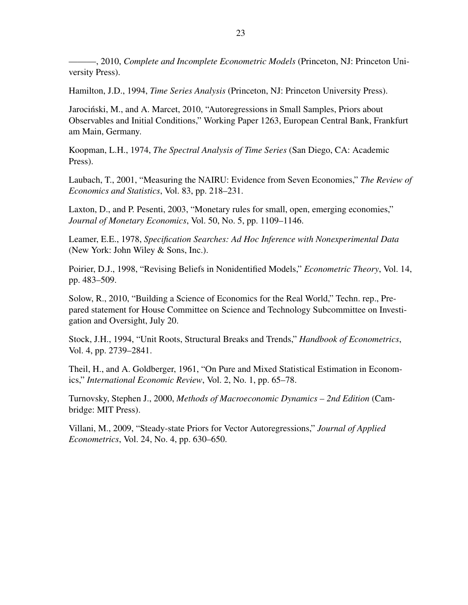<span id="page-22-0"></span>———, 2010, *Complete and Incomplete Econometric Models* (Princeton, NJ: Princeton University Press).

<span id="page-22-7"></span>Hamilton, J.D., 1994, *Time Series Analysis* (Princeton, NJ: Princeton University Press).

<span id="page-22-1"></span>Jarociński, M., and A. Marcet, 2010, "Autoregressions in Small Samples, Priors about Observables and Initial Conditions," Working Paper 1263, European Central Bank, Frankfurt am Main, Germany.

<span id="page-22-8"></span>Koopman, L.H., 1974, *The Spectral Analysis of Time Series* (San Diego, CA: Academic Press).

<span id="page-22-10"></span>Laubach, T., 2001, "Measuring the NAIRU: Evidence from Seven Economies," *The Review of Economics and Statistics*, Vol. 83, pp. 218–231.

<span id="page-22-5"></span>Laxton, D., and P. Pesenti, 2003, "Monetary rules for small, open, emerging economies," *Journal of Monetary Economics*, Vol. 50, No. 5, pp. 1109–1146.

<span id="page-22-2"></span>Leamer, E.E., 1978, *Specification Searches: Ad Hoc Inference with Nonexperimental Data* (New York: John Wiley & Sons, Inc.).

<span id="page-22-4"></span>Poirier, D.J., 1998, "Revising Beliefs in Nonidentified Models," *Econometric Theory*, Vol. 14, pp. 483–509.

<span id="page-22-6"></span>Solow, R., 2010, "Building a Science of Economics for the Real World," Techn. rep., Prepared statement for House Committee on Science and Technology Subcommittee on Investigation and Oversight, July 20.

<span id="page-22-9"></span>Stock, J.H., 1994, "Unit Roots, Structural Breaks and Trends," *Handbook of Econometrics*, Vol. 4, pp. 2739–2841.

<span id="page-22-11"></span>Theil, H., and A. Goldberger, 1961, "On Pure and Mixed Statistical Estimation in Economics," *International Economic Review*, Vol. 2, No. 1, pp. 65–78.

<span id="page-22-12"></span>Turnovsky, Stephen J., 2000, *Methods of Macroeconomic Dynamics – 2nd Edition* (Cambridge: MIT Press).

<span id="page-22-3"></span>Villani, M., 2009, "Steady-state Priors for Vector Autoregressions," *Journal of Applied Econometrics*, Vol. 24, No. 4, pp. 630–650.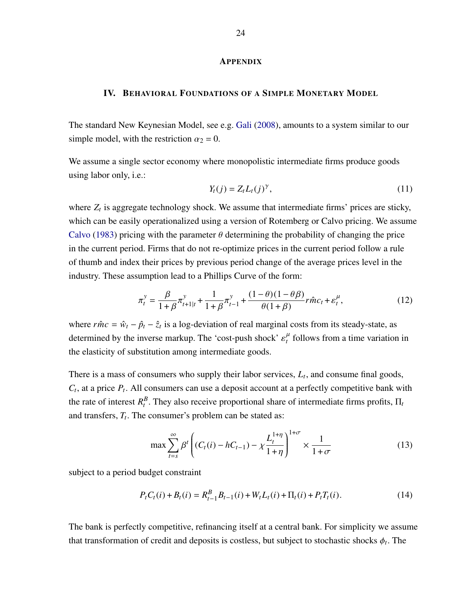#### **APPENDIX**

#### <span id="page-23-0"></span>IV. BEHAVIORAL FOUNDATIONS OF A SIMPLE MONETARY MODEL

The standard New Keynesian Model, see e.g. [Gali](#page-21-15) [\(2008\)](#page-21-15), amounts to a system similar to our simple model, with the restriction  $\alpha_2 = 0$ .

We assume a single sector economy where monopolistic intermediate firms produce goods using labor only, i.e.:

$$
Y_t(j) = Z_t L_t(j)^{\gamma},\tag{11}
$$

where  $Z_t$  is aggregate technology shock. We assume that intermediate firms' prices are sticky, which can be easily operationalized using a version of Rotemberg or Calvo pricing. We assume [Calvo](#page-21-5) [\(1983\)](#page-21-5) pricing with the parameter  $\theta$  determining the probability of changing the price in the current period. Firms that do not re-optimize prices in the current period follow a rule of thumb and index their prices by previous period change of the average prices level in the industry. These assumption lead to a Phillips Curve of the form:

$$
\pi_t^y = \frac{\beta}{1+\beta} \pi_{t+1|t}^y + \frac{1}{1+\beta} \pi_{t-1}^y + \frac{(1-\theta)(1-\theta\beta)}{\theta(1+\beta)} r \hat{m} c_t + \varepsilon_t^\mu,
$$
(12)

where  $r\hat{m}c = \hat{w}_t - \hat{p}_t - \hat{z}_t$  is a log-deviation of real marginal costs from its steady-state, as determined by the inverse markup. The 'cost-push shock'  $\varepsilon_t^{\mu}$  follows from a time variation in the elasticity of substitution among intermediate goods.

There is a mass of consumers who supply their labor services, *L<sup>t</sup>* , and consume final goods,  $C_t$ , at a price  $P_t$ . All consumers can use a deposit account at a perfectly competitive bank with the rate of interest  $R_t^B$ . They also receive proportional share of intermediate firms profits,  $\Pi_t$ and transfers, *T<sup>t</sup>* . The consumer's problem can be stated as:

$$
\max \sum_{t=s}^{\infty} \beta^{t} \left( (C_{t}(i) - hC_{t-1}) - \chi \frac{L_{t}^{1+\eta}}{1+\eta} \right)^{1+\sigma} \times \frac{1}{1+\sigma}
$$
(13)

subject to a period budget constraint

$$
P_t C_t(i) + B_t(i) = R_{t-1}^B B_{t-1}(i) + W_t L_t(i) + \Pi_t(i) + P_t T_t(i).
$$
\n(14)

The bank is perfectly competitive, refinancing itself at a central bank. For simplicity we assume that transformation of credit and deposits is costless, but subject to stochastic shocks  $\phi_t$ . The